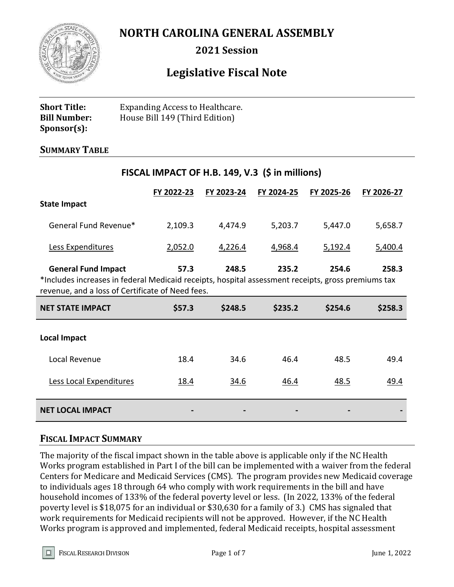

**NORTH CAROLINA GENERAL ASSEMBLY**

**2021 Session**

# **Legislative Fiscal Note**

**FISCAL IMPACT OF H.B. 149, V.3 (\$ in millions)**

| <b>Short Title:</b> | <b>Expanding Access to Healthcare.</b> |
|---------------------|----------------------------------------|
| <b>Bill Number:</b> | House Bill 149 (Third Edition)         |
| $Sponsor(s)$ :      |                                        |

### **SUMMARY TABLE**

|                                                                                                                                                        | FY 2022-23  | FY 2023-24 | FY 2024-25 | FY 2025-26  | FY 2026-27  |
|--------------------------------------------------------------------------------------------------------------------------------------------------------|-------------|------------|------------|-------------|-------------|
| <b>State Impact</b>                                                                                                                                    |             |            |            |             |             |
| General Fund Revenue*                                                                                                                                  | 2,109.3     | 4,474.9    | 5,203.7    | 5,447.0     | 5,658.7     |
| Less Expenditures                                                                                                                                      | 2,052.0     | 4,226.4    | 4,968.4    | 5,192.4     | 5,400.4     |
| <b>General Fund Impact</b>                                                                                                                             | 57.3        | 248.5      | 235.2      | 254.6       | 258.3       |
| *Includes increases in federal Medicaid receipts, hospital assessment receipts, gross premiums tax<br>revenue, and a loss of Certificate of Need fees. |             |            |            |             |             |
|                                                                                                                                                        |             |            |            |             |             |
| <b>NET STATE IMPACT</b>                                                                                                                                | \$57.3      | \$248.5    | \$235.2    | \$254.6     | \$258.3     |
| <b>Local Impact</b>                                                                                                                                    |             |            |            |             |             |
| Local Revenue                                                                                                                                          | 18.4        | 34.6       | 46.4       | 48.5        | 49.4        |
| Less Local Expenditures                                                                                                                                | <u>18.4</u> | 34.6       | 46.4       | <u>48.5</u> | <u>49.4</u> |

#### **FISCAL IMPACT SUMMARY**

The majority of the fiscal impact shown in the table above is applicable only if the NC Health Works program established in Part I of the bill can be implemented with a waiver from the federal Centers for Medicare and Medicaid Services (CMS). The program provides new Medicaid coverage to individuals ages 18 through 64 who comply with work requirements in the bill and have household incomes of 133% of the federal poverty level or less. (In 2022, 133% of the federal poverty level is \$18,075 for an individual or \$30,630 for a family of 3.) CMS has signaled that work requirements for Medicaid recipients will not be approved. However, if the NC Health Works program is approved and implemented, federal Medicaid receipts, hospital assessment

FISCAL RESEARCH DIVISION **Page 1 of 7** Authority Page 1 of 7

П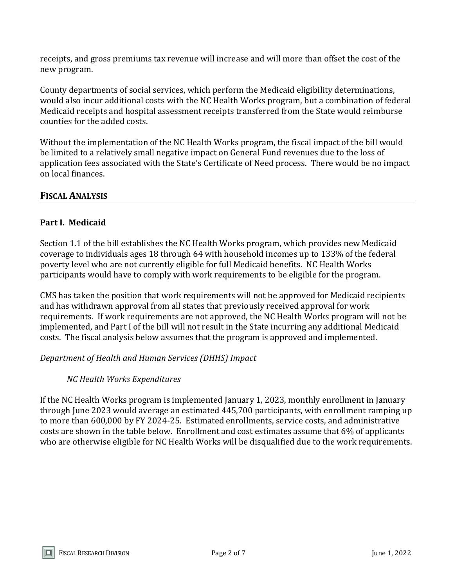receipts, and gross premiums tax revenue will increase and will more than offset the cost of the new program.

County departments of social services, which perform the Medicaid eligibility determinations, would also incur additional costs with the NC Health Works program, but a combination of federal Medicaid receipts and hospital assessment receipts transferred from the State would reimburse counties for the added costs.

Without the implementation of the NC Health Works program, the fiscal impact of the bill would be limited to a relatively small negative impact on General Fund revenues due to the loss of application fees associated with the State's Certificate of Need process. There would be no impact on local finances.

# **FISCAL ANALYSIS**

### **Part I. Medicaid**

Section 1.1 of the bill establishes the NC Health Works program, which provides new Medicaid coverage to individuals ages 18 through 64 with household incomes up to 133% of the federal poverty level who are not currently eligible for full Medicaid benefits. NC Health Works participants would have to comply with work requirements to be eligible for the program.

CMS has taken the position that work requirements will not be approved for Medicaid recipients and has withdrawn approval from all states that previously received approval for work requirements. If work requirements are not approved, the NC Health Works program will not be implemented, and Part I of the bill will not result in the State incurring any additional Medicaid costs. The fiscal analysis below assumes that the program is approved and implemented.

*Department of Health and Human Services (DHHS) Impact*

# *NC Health Works Expenditures*

If the NC Health Works program is implemented January 1, 2023, monthly enrollment in January through June 2023 would average an estimated 445,700 participants, with enrollment ramping up to more than 600,000 by FY 2024-25. Estimated enrollments, service costs, and administrative costs are shown in the table below. Enrollment and cost estimates assume that 6% of applicants who are otherwise eligible for NC Health Works will be disqualified due to the work requirements.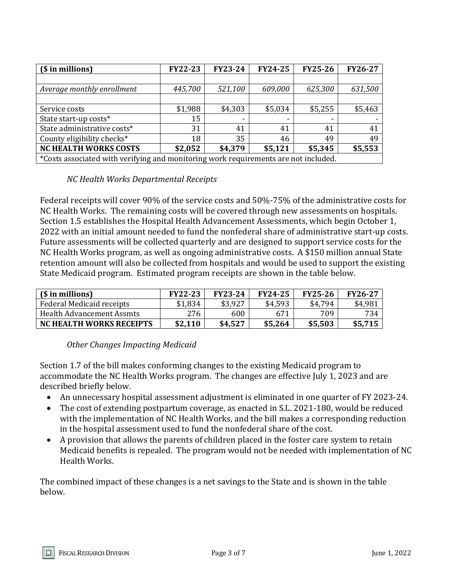| (\$ in millions)                                                                    | <b>FY22-23</b> | <b>FY23-24</b> | <b>FY24-25</b>           | <b>FY25-26</b> | <b>FY26-27</b> |
|-------------------------------------------------------------------------------------|----------------|----------------|--------------------------|----------------|----------------|
|                                                                                     |                |                |                          |                |                |
| Average monthly enrollment                                                          | 445,700        | 521,100        | 609,000                  | 625,300        | 631,500        |
|                                                                                     |                |                |                          |                |                |
| Service costs                                                                       | \$1,988        | \$4,303        | \$5,034                  | \$5,255        | \$5,463        |
| State start-up costs*                                                               | 15             |                | $\overline{\phantom{0}}$ |                |                |
| State administrative costs*                                                         | 31             | 41             | 41                       | 41             | 41             |
| County eligibility checks*                                                          | 18             | 35             | 46                       | 49             | 49             |
| <b>NC HEALTH WORKS COSTS</b>                                                        | \$2,052        | \$4,379        | \$5,121                  | \$5,345        | \$5,553        |
| *Costs associated with verifying and monitoring work requirements are not included. |                |                |                          |                |                |

### *NC Health Works Departmental Receipts*

Federal receipts will cover 90% of the service costs and 50%-75% of the administrative costs for NC Health Works. The remaining costs will be covered through new assessments on hospitals. Section 1.5 establishes the Hospital Health Advancement Assessments, which begin October 1, 2022 with an initial amount needed to fund the nonfederal share of administrative start-up costs. Future assessments will be collected quarterly and are designed to support service costs for the NC Health Works program, as well as ongoing administrative costs. A \$150 million annual State retention amount will also be collected from hospitals and would be used to support the existing State Medicaid program. Estimated program receipts are shown in the table below.

| (\$ in millions)                 | <b>FY22-23</b> | <b>FY23-24</b> | <b>FY24-25</b> | <b>FY25-26</b> | <b>FY26-27</b> |
|----------------------------------|----------------|----------------|----------------|----------------|----------------|
| Federal Medicaid receipts        | \$1,834        | \$3,927        | \$4,593        | \$4,794        | \$4,981        |
| <b>Health Advancement Assmts</b> | 276            | 600            | 671            | 709            | 734            |
| <b>NC HEALTH WORKS RECEIPTS</b>  | \$2,110        | \$4,527        | \$5,264        | \$5,503        | \$5,715        |

### *Other Changes Impacting Medicaid*

Section 1.7 of the bill makes conforming changes to the existing Medicaid program to accommodate the NC Health Works program. The changes are effective July 1, 2023 and are described briefly below.

- An unnecessary hospital assessment adjustment is eliminated in one quarter of FY 2023-24.
- The cost of extending postpartum coverage, as enacted in S.L. 2021-180, would be reduced with the implementation of NC Health Works, and the bill makes a corresponding reduction in the hospital assessment used to fund the nonfederal share of the cost.
- A provision that allows the parents of children placed in the foster care system to retain Medicaid benefits is repealed. The program would not be needed with implementation of NC Health Works.

The combined impact of these changes is a net savings to the State and is shown in the table below.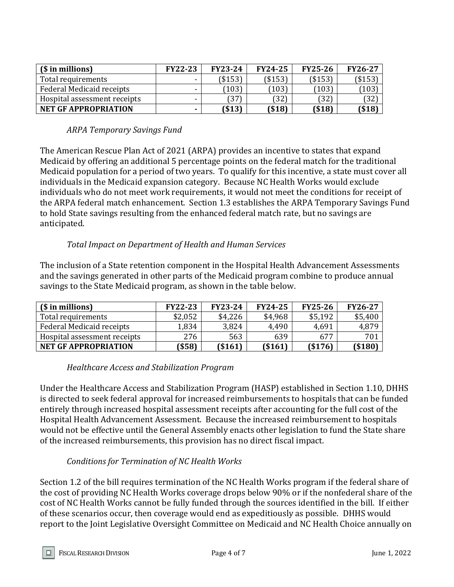| (\$ in millions)             | <b>FY22-23</b>           | <b>FY23-24</b> | <b>FY24-25</b> | <b>FY25-26</b> | <b>FY26-27</b> |
|------------------------------|--------------------------|----------------|----------------|----------------|----------------|
| Total requirements           | $\overline{\phantom{a}}$ | ( \$153)       | ( \$153)       | ( \$153)       | \$153          |
| Federal Medicaid receipts    | -                        | (103)          | (103)          | (103)          | 103            |
| Hospital assessment receipts | -                        | 37             | [32]           | (32)           | 32             |
| <b>NET GF APPROPRIATION</b>  |                          | ( \$13)        | $($ \$18)      | $($ \$18)      | (\$18)         |

### *ARPA Temporary Savings Fund*

The American Rescue Plan Act of 2021 (ARPA) provides an incentive to states that expand Medicaid by offering an additional 5 percentage points on the federal match for the traditional Medicaid population for a period of two years. To qualify for this incentive, a state must cover all individuals in the Medicaid expansion category. Because NC Health Works would exclude individuals who do not meet work requirements, it would not meet the conditions for receipt of the ARPA federal match enhancement. Section 1.3 establishes the ARPA Temporary Savings Fund to hold State savings resulting from the enhanced federal match rate, but no savings are anticipated.

### *Total Impact on Department of Health and Human Services*

The inclusion of a State retention component in the Hospital Health Advancement Assessments and the savings generated in other parts of the Medicaid program combine to produce annual savings to the State Medicaid program, as shown in the table below.

| (\$ in millions)             | <b>FY22-23</b> | <b>FY23-24</b> | <b>FY24-25</b> | <b>FY25-26</b> | <b>FY26-27</b> |
|------------------------------|----------------|----------------|----------------|----------------|----------------|
| Total requirements           | \$2,052        | \$4,226        | \$4,968        | \$5,192        | \$5,400        |
| Federal Medicaid receipts    | 1,834          | 3,824          | 4,490          | 4,691          | 4,879          |
| Hospital assessment receipts | 276            | 563            | 639            | 677            | 701            |
| <b>NET GF APPROPRIATION</b>  | \$58]          | ( \$161)       | ( \$161)       | $($ \$176)     | ( \$180]       |

### *Healthcare Access and Stabilization Program*

Under the Healthcare Access and Stabilization Program (HASP) established in Section 1.10, DHHS is directed to seek federal approval for increased reimbursements to hospitals that can be funded entirely through increased hospital assessment receipts after accounting for the full cost of the Hospital Health Advancement Assessment. Because the increased reimbursement to hospitals would not be effective until the General Assembly enacts other legislation to fund the State share of the increased reimbursements, this provision has no direct fiscal impact.

### *Conditions for Termination of NC Health Works*

Section 1.2 of the bill requires termination of the NC Health Works program if the federal share of the cost of providing NC Health Works coverage drops below 90% or if the nonfederal share of the cost of NC Health Works cannot be fully funded through the sources identified in the bill. If either of these scenarios occur, then coverage would end as expeditiously as possible. DHHS would report to the Joint Legislative Oversight Committee on Medicaid and NC Health Choice annually on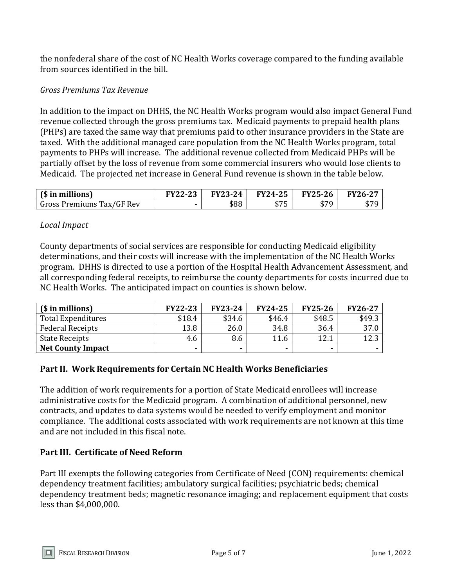the nonfederal share of the cost of NC Health Works coverage compared to the funding available from sources identified in the bill.

### *Gross Premiums Tax Revenue*

In addition to the impact on DHHS, the NC Health Works program would also impact General Fund revenue collected through the gross premiums tax. Medicaid payments to prepaid health plans (PHPs) are taxed the same way that premiums paid to other insurance providers in the State are taxed. With the additional managed care population from the NC Health Works program, total payments to PHPs will increase. The additional revenue collected from Medicaid PHPs will be partially offset by the loss of revenue from some commercial insurers who would lose clients to Medicaid. The projected net increase in General Fund revenue is shown in the table below.

| (\$ in millions)          | <b>FY22-23</b> | FV23-24 | <b>FY24-25</b> | <b>FY25-26</b> | <b>FY26-27</b>              |
|---------------------------|----------------|---------|----------------|----------------|-----------------------------|
| Gross Premiums Tax/GF Rev | -              | \$88    | ᆠᆕ<br>ر ہ      | ¢70<br>. .     | $A = C$<br>$\mathfrak{p}$ , |

### *Local Impact*

County departments of social services are responsible for conducting Medicaid eligibility determinations, and their costs will increase with the implementation of the NC Health Works program. DHHS is directed to use a portion of the Hospital Health Advancement Assessment, and all corresponding federal receipts, to reimburse the county departments for costs incurred due to NC Health Works. The anticipated impact on counties is shown below.

| (\$ in millions)         | <b>FY22-23</b> | <b>FY23-24</b> | <b>FY24-25</b> | <b>FY25-26</b> | <b>FY26-27</b> |
|--------------------------|----------------|----------------|----------------|----------------|----------------|
| Total Expenditures       | \$18.4         | \$34.6         | \$46.4         | \$48.5         | \$49.3         |
| <b>Federal Receipts</b>  | 13.8           | 26.0           | 34.8           | 36.4           | 37.0           |
| State Receipts           | 4.6            | 8.6            | 11.6           | 12.1           | 12.3           |
| <b>Net County Impact</b> |                |                |                |                |                |

### **Part II. Work Requirements for Certain NC Health Works Beneficiaries**

The addition of work requirements for a portion of State Medicaid enrollees will increase administrative costs for the Medicaid program. A combination of additional personnel, new contracts, and updates to data systems would be needed to verify employment and monitor compliance. The additional costs associated with work requirements are not known at this time and are not included in this fiscal note.

### **Part III. Certificate of Need Reform**

Part III exempts the following categories from Certificate of Need (CON) requirements: chemical dependency treatment facilities; ambulatory surgical facilities; psychiatric beds; chemical dependency treatment beds; magnetic resonance imaging; and replacement equipment that costs less than \$4,000,000.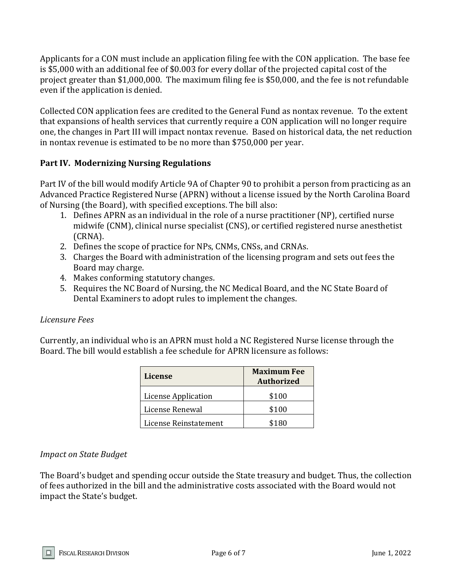Applicants for a CON must include an application filing fee with the CON application. The base fee is \$5,000 with an additional fee of \$0.003 for every dollar of the projected capital cost of the project greater than \$1,000,000. The maximum filing fee is \$50,000, and the fee is not refundable even if the application is denied.

Collected CON application fees are credited to the General Fund as nontax revenue. To the extent that expansions of health services that currently require a CON application will no longer require one, the changes in Part III will impact nontax revenue. Based on historical data, the net reduction in nontax revenue is estimated to be no more than \$750,000 per year.

### **Part IV. Modernizing Nursing Regulations**

Part IV of the bill would modify Article 9A of Chapter 90 to prohibit a person from practicing as an Advanced Practice Registered Nurse (APRN) without a license issued by the North Carolina Board of Nursing (the Board), with specified exceptions. The bill also:

- 1. Defines APRN as an individual in the role of a nurse practitioner (NP), certified nurse midwife (CNM), clinical nurse specialist (CNS), or certified registered nurse anesthetist (CRNA).
- 2. Defines the scope of practice for NPs, CNMs, CNSs, and CRNAs.
- 3. Charges the Board with administration of the licensing program and sets out fees the Board may charge.
- 4. Makes conforming statutory changes.
- 5. Requires the NC Board of Nursing, the NC Medical Board, and the NC State Board of Dental Examiners to adopt rules to implement the changes.

### *Licensure Fees*

Currently, an individual who is an APRN must hold a NC Registered Nurse license through the Board. The bill would establish a fee schedule for APRN licensure as follows:

| <b>License</b>             | <b>Maximum Fee</b><br><b>Authorized</b> |
|----------------------------|-----------------------------------------|
| <b>License Application</b> | \$100                                   |
| License Renewal            | \$100                                   |
| License Reinstatement      | \$180                                   |

### *Impact on State Budget*

The Board's budget and spending occur outside the State treasury and budget. Thus, the collection of fees authorized in the bill and the administrative costs associated with the Board would not impact the State's budget.